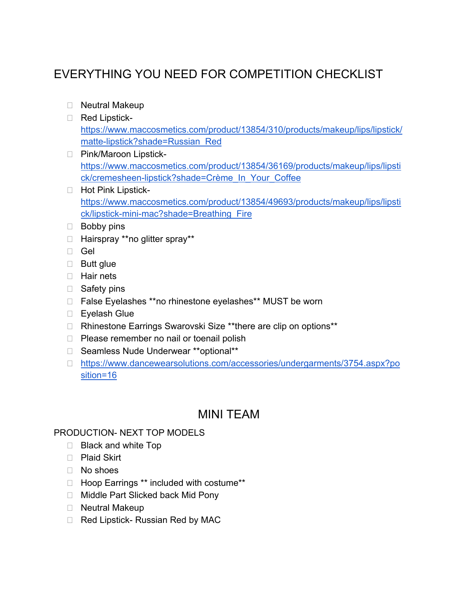# EVERYTHING YOU NEED FOR COMPETITION CHECKLIST

- □ Neutral Makeup
- Red Lipstick[https://www.maccosmetics.com/product/13854/310/products/makeup/lips/lipstick/](https://www.maccosmetics.com/product/13854/310/products/makeup/lips/lipstick/matte-lipstick?shade=Russian_Red) [matte-lipstick?shade=Russian\\_Red](https://www.maccosmetics.com/product/13854/310/products/makeup/lips/lipstick/matte-lipstick?shade=Russian_Red)
- □ Pink/Maroon Lipstick[https://www.maccosmetics.com/product/13854/36169/products/makeup/lips/lipsti](https://www.maccosmetics.com/product/13854/36169/products/makeup/lips/lipstick/cremesheen-lipstick?shade=Cr%C3%A8me_In_Your_Coffee) [ck/cremesheen-lipstick?shade=Crème\\_In\\_Your\\_Coffee](https://www.maccosmetics.com/product/13854/36169/products/makeup/lips/lipstick/cremesheen-lipstick?shade=Cr%C3%A8me_In_Your_Coffee)
- □ Hot Pink Lipstick[https://www.maccosmetics.com/product/13854/49693/products/makeup/lips/lipsti](https://www.maccosmetics.com/product/13854/49693/products/makeup/lips/lipstick/lipstick-mini-mac?shade=Breathing_Fire) [ck/lipstick-mini-mac?shade=Breathing\\_Fire](https://www.maccosmetics.com/product/13854/49693/products/makeup/lips/lipstick/lipstick-mini-mac?shade=Breathing_Fire)
- **Bobby pins**
- Hairspray \*\*no glitter spray\*\*
- □ Gel
- □ Butt glue
- $\Box$  Hair nets
- □ Safety pins
- □ False Eyelashes \*\*no rhinestone eyelashes\*\* MUST be worn
- □ Eyelash Glue
- □ Rhinestone Earrings Swarovski Size \*\*there are clip on options\*\*
- $\Box$  Please remember no nail or toenail polish
- □ Seamless Nude Underwear \*\*optional\*\*
- [https://www.dancewearsolutions.com/accessories/undergarments/3754.aspx?po](https://www.dancewearsolutions.com/accessories/undergarments/3754.aspx?position=16) [sition=16](https://www.dancewearsolutions.com/accessories/undergarments/3754.aspx?position=16)

# MINI TEAM

#### PRODUCTION- NEXT TOP MODELS

- □ Black and white Top
- □ Plaid Skirt
- No shoes
- Hoop Earrings \*\* included with costume\*\*
- □ Middle Part Slicked back Mid Pony
- □ Neutral Makeup
- □ Red Lipstick- Russian Red by MAC